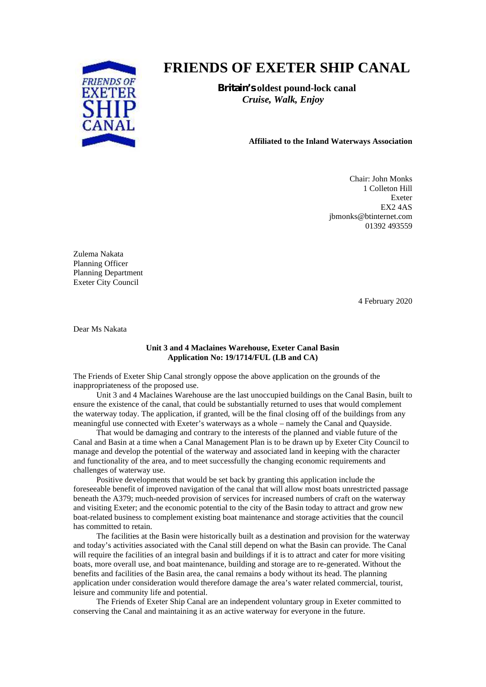

## **FRIENDS OF EXETER SHIP CANAL**

**Britain's oldest pound-lock canal** *Cruise, Walk, Enjoy*

## **Affiliated to the Inland Waterways Association**

Chair: John Monks 1 Colleton Hill Exeter EX2 4AS jbmonks@btinternet.com 01392 493559

Zulema Nakata Planning Officer Planning Department Exeter City Council

4 February 2020

Dear Ms Nakata

## **Unit 3 and 4 Maclaines Warehouse, Exeter Canal Basin Application No: 19/1714/FUL (LB and CA)**

The Friends of Exeter Ship Canal strongly oppose the above application on the grounds of the inappropriateness of the proposed use.

Unit 3 and 4 Maclaines Warehouse are the last unoccupied buildings on the Canal Basin, built to ensure the existence of the canal, that could be substantially returned to uses that would complement the waterway today. The application, if granted, will be the final closing off of the buildings from any meaningful use connected with Exeter's waterways as a whole – namely the Canal and Quayside.

That would be damaging and contrary to the interests of the planned and viable future of the Canal and Basin at a time when a Canal Management Plan is to be drawn up by Exeter City Council to manage and develop the potential of the waterway and associated land in keeping with the character and functionality of the area, and to meet successfully the changing economic requirements and challenges of waterway use.

Positive developments that would be set back by granting this application include the foreseeable benefit of improved navigation of the canal that will allow most boats unrestricted passage beneath the A379; much-needed provision of services for increased numbers of craft on the waterway and visiting Exeter; and the economic potential to the city of the Basin today to attract and grow new boat-related business to complement existing boat maintenance and storage activities that the council has committed to retain.

The facilities at the Basin were historically built as a destination and provision for the waterway and today's activities associated with the Canal still depend on what the Basin can provide. The Canal will require the facilities of an integral basin and buildings if it is to attract and cater for more visiting boats, more overall use, and boat maintenance, building and storage are to re-generated. Without the benefits and facilities of the Basin area, the canal remains a body without its head. The planning application under consideration would therefore damage the area's water related commercial, tourist, leisure and community life and potential.

The Friends of Exeter Ship Canal are an independent voluntary group in Exeter committed to conserving the Canal and maintaining it as an active waterway for everyone in the future.